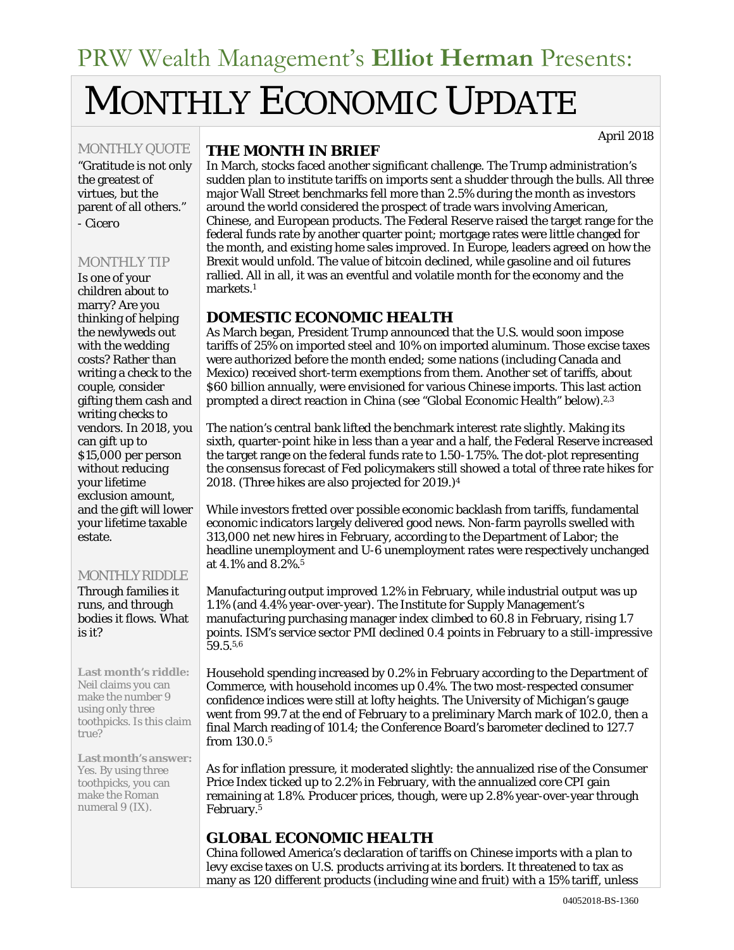# MONTHLY ECONOMIC UPDATE

MONTHLY QUOTE

"Gratitude is not only the greatest of virtues, but the parent of all others." *- Cicero*

#### MONTHLY TIP

Is one of your children about to marry? Are you thinking of helping the newlyweds out with the wedding costs? Rather than writing a check to the couple, consider gifting them cash and writing checks to vendors. In 2018, you can gift up to \$15,000 per person without reducing your lifetime exclusion amount, and the gift will lower your lifetime taxable estate.

#### MONTHLY RIDDLE

Through families it runs, and through bodies it flows. What is it?

**Last month's riddle:** Neil claims you can make the number 9 using only three toothpicks. Is this claim true?

**Lastmonth'sanswer:** Yes. By using three toothpicks, you can make the Roman numeral 9 (IX).

#### **THE MONTH IN BRIEF**

In March, stocks faced another significant challenge. The Trump administration's sudden plan to institute tariffs on imports sent a shudder through the bulls. All three major Wall Street benchmarks fell more than 2.5% during the month as investors around the world considered the prospect of trade wars involving American, Chinese, and European products. The Federal Reserve raised the target range for the federal funds rate by another quarter point; mortgage rates were little changed for the month, and existing home sales improved. In Europe, leaders agreed on how the Brexit would unfold. The value of bitcoin declined, while gasoline and oil futures rallied. All in all, it was an eventful and volatile month for the economy and the markets.1

## **DOMESTIC ECONOMIC HEALTH**

As March began, President Trump announced that the U.S. would soon impose tariffs of 25% on imported steel and 10% on imported aluminum. Those excise taxes were authorized before the month ended; some nations (including Canada and Mexico) received short-term exemptions from them. Another set of tariffs, about \$60 billion annually, were envisioned for various Chinese imports. This last action prompted a direct reaction in China (see "Global Economic Health" below).2,3

The nation's central bank lifted the benchmark interest rate slightly. Making its sixth, quarter-point hike in less than a year and a half, the Federal Reserve increased the target range on the federal funds rate to 1.50-1.75%. The dot-plot representing the consensus forecast of Fed policymakers still showed a total of three rate hikes for 2018. (Three hikes are also projected for 2019.)4

While investors fretted over possible economic backlash from tariffs, fundamental economic indicators largely delivered good news. Non-farm payrolls swelled with 313,000 net new hires in February, according to the Department of Labor; the headline unemployment and U-6 unemployment rates were respectively unchanged at 4.1% and 8.2%.5

Manufacturing output improved 1.2% in February, while industrial output was up 1.1% (and 4.4% year-over-year). The Institute for Supply Management's manufacturing purchasing manager index climbed to 60.8 in February, rising 1.7 points. ISM's service sector PMI declined 0.4 points in February to a still-impressive 59.5.5,6

Household spending increased by 0.2% in February according to the Department of Commerce, with household incomes up 0.4%. The two most-respected consumer confidence indices were still at lofty heights. The University of Michigan's gauge went from 99.7 at the end of February to a preliminary March mark of 102.0, then a final March reading of 101.4; the Conference Board's barometer declined to 127.7 from 130.0.5

As for inflation pressure, it moderated slightly: the annualized rise of the Consumer Price Index ticked up to 2.2% in February, with the annualized core CPI gain remaining at 1.8%. Producer prices, though, were up 2.8% year-over-year through February.5

# **GLOBAL ECONOMIC HEALTH**

China followed America's declaration of tariffs on Chinese imports with a plan to levy excise taxes on U.S. products arriving at its borders. It threatened to tax as many as 120 different products (including wine and fruit) with a 15% tariff, unless

April 2018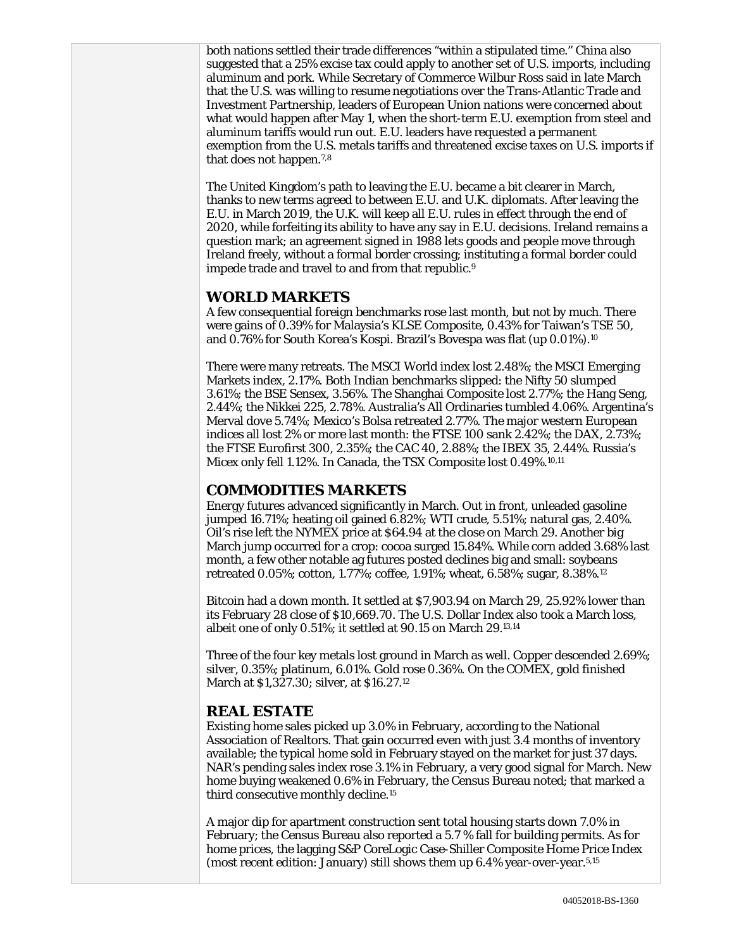both nations settled their trade differences "within a stipulated time." China also suggested that a 25% excise tax could apply to another set of U.S. imports, including aluminum and pork. While Secretary of Commerce Wilbur Ross said in late March that the U.S. was willing to resume negotiations over the Trans-Atlantic Trade and Investment Partnership, leaders of European Union nations were concerned about what would happen after May 1, when the short-term E.U. exemption from steel and aluminum tariffs would run out. E.U. leaders have requested a permanent exemption from the U.S. metals tariffs and threatened excise taxes on U.S. imports if that does not happen.7,8

The United Kingdom's path to leaving the E.U. became a bit clearer in March, thanks to new terms agreed to between E.U. and U.K. diplomats. After leaving the E.U. in March 2019, the U.K. will keep all E.U. rules in effect through the end of 2020, while forfeiting its ability to have any say in E.U. decisions. Ireland remains a question mark; an agreement signed in 1988 lets goods and people move through Ireland freely, without a formal border crossing; instituting a formal border could impede trade and travel to and from that republic.9

#### **WORLD MARKETS**

A few consequential foreign benchmarks rose last month, but not by much. There were gains of 0.39% for Malaysia's KLSE Composite, 0.43% for Taiwan's TSE 50, and 0.76% for South Korea's Kospi. Brazil's Bovespa was flat (up 0.01%).10

There were many retreats. The MSCI World index lost 2.48%; the MSCI Emerging Markets index, 2.17%. Both Indian benchmarks slipped: the Nifty 50 slumped 3.61%; the BSE Sensex, 3.56%. The Shanghai Composite lost 2.77%; the Hang Seng, 2.44%; the Nikkei 225, 2.78%. Australia's All Ordinaries tumbled 4.06%. Argentina's Merval dove 5.74%; Mexico's Bolsa retreated 2.77%. The major western European indices all lost 2% or more last month: the FTSE 100 sank 2.42%; the DAX, 2.73%; the FTSE Eurofirst 300, 2.35%; the CAC 40, 2.88%; the IBEX 35, 2.44%. Russia's Micex only fell 1.12%. In Canada, the TSX Composite lost 0.49%.10,11

## **COMMODITIES MARKETS**

Energy futures advanced significantly in March. Out in front, unleaded gasoline jumped 16.71%; heating oil gained 6.82%; WTI crude, 5.51%; natural gas, 2.40%. Oil's rise left the NYMEX price at \$64.94 at the close on March 29. Another big March jump occurred for a crop: cocoa surged 15.84%. While corn added 3.68% last month, a few other notable ag futures posted declines big and small: soybeans retreated 0.05%; cotton, 1.77%; coffee, 1.91%; wheat, 6.58%; sugar, 8.38%.12

Bitcoin had a down month. It settled at \$7,903.94 on March 29, 25.92% lower than its February 28 close of \$10,669.70. The U.S. Dollar Index also took a March loss, albeit one of only 0.51%; it settled at 90.15 on March 29.13,14

Three of the four key metals lost ground in March as well. Copper descended 2.69%; silver, 0.35%; platinum, 6.01%. Gold rose 0.36%. On the COMEX, gold finished March at \$1,327.30; silver, at \$16.27.12

## **REAL ESTATE**

Existing home sales picked up 3.0% in February, according to the National Association of Realtors. That gain occurred even with just 3.4 months of inventory available; the typical home sold in February stayed on the market for just 37 days. NAR's pending sales index rose 3.1% in February, a very good signal for March. New home buying weakened 0.6% in February, the Census Bureau noted; that marked a third consecutive monthly decline.15

A major dip for apartment construction sent total housing starts down 7.0% in February; the Census Bureau also reported a 5.7 % fall for building permits. As for home prices, the lagging S&P CoreLogic Case-Shiller Composite Home Price Index (most recent edition: January) still shows them up 6.4% year-over-year.5,15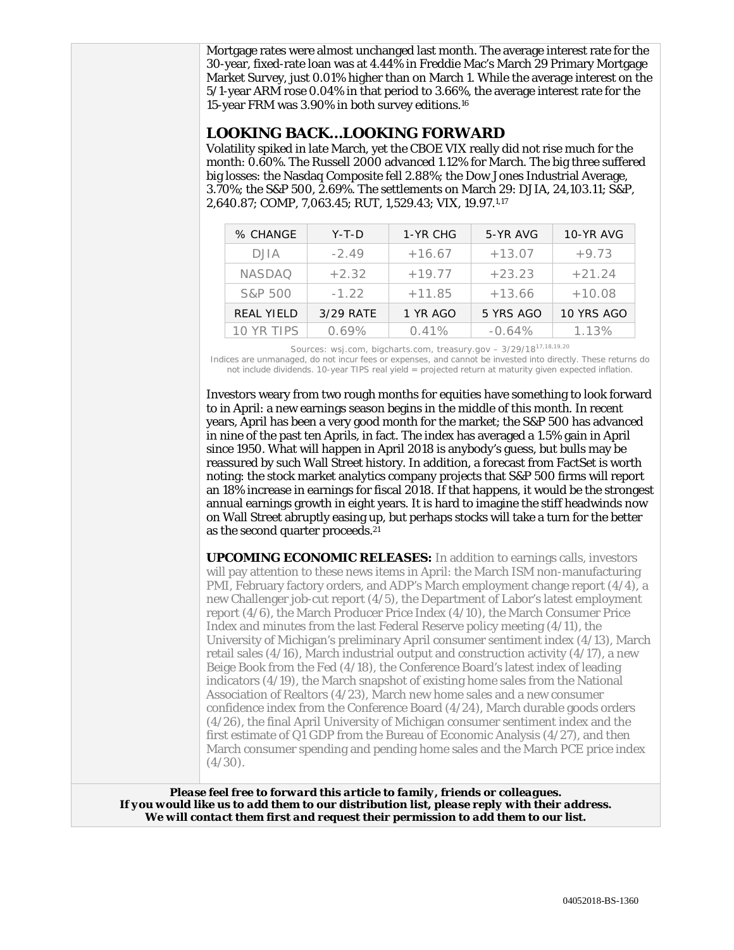Mortgage rates were almost unchanged last month. The average interest rate for the 30-year, fixed-rate loan was at 4.44% in Freddie Mac's March 29 Primary Mortgage Market Survey, just 0.01% higher than on March 1. While the average interest on the 5/1-year ARM rose 0.04% in that period to 3.66%, the average interest rate for the 15-year FRM was 3.90% in both survey editions.16

## **LOOKING BACK…LOOKING FORWARD**

Volatility spiked in late March, yet the CBOE VIX really did not rise much for the month: 0.60%. The Russell 2000 advanced 1.12% for March. The big three suffered big losses: the Nasdaq Composite fell 2.88%; the Dow Jones Industrial Average, 3.70%; the S&P 500, 2.69%. The settlements on March 29: DJIA, 24,103.11; S&P, 2,640.87; COMP, 7,063.45; RUT, 1,529.43; VIX, 19.97.1,17

| % CHANGE          | $Y-T-D$   | 1-YR CHG | 5-YR AVG  | 10-YR AVG  |
|-------------------|-----------|----------|-----------|------------|
| <b>DJIA</b>       | $-2.49$   | $+16.67$ | $+13.07$  | $+9.73$    |
| <b>NASDAO</b>     | $+2.32$   | $+19.77$ | $+23.23$  | $+21.24$   |
| S&P 500           | $-1.22$   | $+11.85$ | $+13.66$  | $+10.08$   |
| <b>REAL YIELD</b> | 3/29 RATE | 1 YR AGO | 5 YRS AGO | 10 YRS AGO |
| 10 YR TIPS        | 0.69%     | 0.41%    | $-0.64\%$ | 1.13%      |

Sources: wsj.com, bigcharts.com, treasury.gov – 3/29/1817,18,19,20

Indices are unmanaged, do not incur fees or expenses, and cannot be invested into directly. These returns do not include dividends. 10-year TIPS real yield = projected return at maturity given expected inflation.

Investors weary from two rough months for equities have something to look forward to in April: a new earnings season begins in the middle of this month. In recent years, April has been a very good month for the market; the S&P 500 has advanced in nine of the past ten Aprils, in fact. The index has averaged a 1.5% gain in April since 1950. What will happen in April 2018 is anybody's guess, but bulls may be reassured by such Wall Street history. In addition, a forecast from FactSet is worth noting: the stock market analytics company projects that S&P 500 firms will report an 18% increase in earnings for fiscal 2018. If that happens, it would be the strongest annual earnings growth in eight years. It is hard to imagine the stiff headwinds now on Wall Street abruptly easing up, but perhaps stocks will take a turn for the better as the second quarter proceeds.21

**UPCOMING ECONOMIC RELEASES:** In addition to earnings calls, investors will pay attention to these news items in April: the March ISM non-manufacturing PMI, February factory orders, and ADP's March employment change report (4/4), a new Challenger job-cut report (4/5), the Department of Labor's latest employment report (4/6), the March Producer Price Index (4/10), the March Consumer Price Index and minutes from the last Federal Reserve policy meeting (4/11), the University of Michigan's preliminary April consumer sentiment index (4/13), March retail sales (4/16), March industrial output and construction activity (4/17), a new Beige Book from the Fed (4/18), the Conference Board's latest index of leading indicators (4/19), the March snapshot of existing home sales from the National Association of Realtors (4/23), March new home sales and a new consumer confidence index from the Conference Board (4/24), March durable goods orders (4/26), the final April University of Michigan consumer sentiment index and the first estimate of Q1 GDP from the Bureau of Economic Analysis (4/27), and then March consumer spending and pending home sales and the March PCE price index  $(4/30)$ .

*Please feel free to forward this article to family, friends or colleagues. If you would like us to add them to our distribution list, please reply with their address. We will contact them first and request their permission to add them to our list.*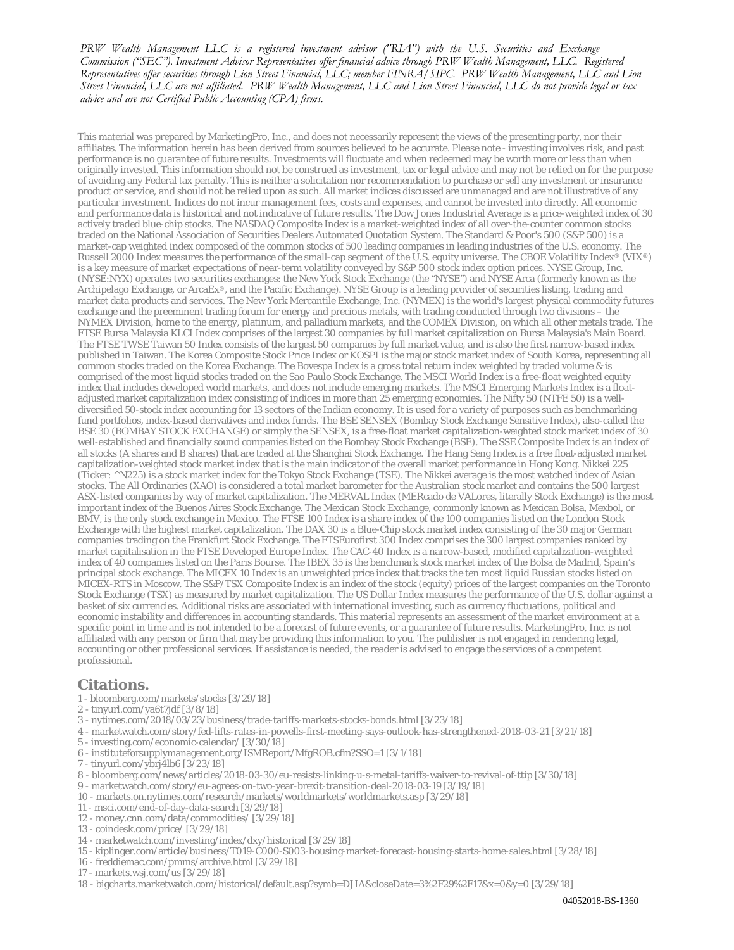*PRW Wealth Management LLC is a registered investment advisor ("RIA") with the U.S. Securities and Exchange Commission ("SEC"). Investment Advisor Representatives offer financial advice through PRW Wealth Management, LLC. Registered* Representatives offer securities through Lion Street Financial, LLC; member FINRA/SIPC. PRW Wealth Management, LLC and Lion Street Financial, LLC are not affiliated. PRW Wealth Management, LLC and Lion Street Financial, LLC do not provide legal or tax *advice and are not Certified Public Accounting (CPA) firms.*

This material was prepared by MarketingPro, Inc., and does not necessarily represent the views of the presenting party, nor their affiliates. The information herein has been derived from sources believed to be accurate. Please note - investing involves risk, and past performance is no guarantee of future results. Investments will fluctuate and when redeemed may be worth more or less than when originally invested. This information should not be construed as investment, tax or legal advice and may not be relied on for the purpose of avoiding any Federal tax penalty. This is neither a solicitation nor recommendation to purchase or sell any investment or insurance product or service, and should not be relied upon as such. All market indices discussed are unmanaged and are not illustrative of any particular investment. Indices do not incur management fees, costs and expenses, and cannot be invested into directly. All economic and performance data is historical and not indicative of future results. The Dow Jones Industrial Average is a price-weighted index of 30 actively traded blue-chip stocks. The NASDAQ Composite Index is a market-weighted index of all over-the-counter common stocks traded on the National Association of Securities Dealers Automated Quotation System. The Standard & Poor's 500 (S&P 500) is a market-cap weighted index composed of the common stocks of 500 leading companies in leading industries of the U.S. economy. The Russell 2000 Index measures the performance of the small-cap segment of the U.S. equity universe. The CBOE Volatility Index® (VIX®) is a key measure of market expectations of near-term volatility conveyed by S&P 500 stock index option prices. NYSE Group, Inc. (NYSE:NYX) operates two securities exchanges: the New York Stock Exchange (the "NYSE") and NYSE Arca (formerly known as the Archipelago Exchange, or ArcaEx®, and the Pacific Exchange). NYSE Group is a leading provider of securities listing, trading and market data products and services. The New York Mercantile Exchange, Inc. (NYMEX) is the world's largest physical commodity futures exchange and the preeminent trading forum for energy and precious metals, with trading conducted through two divisions – the NYMEX Division, home to the energy, platinum, and palladium markets, and the COMEX Division, on which all other metals trade. The FTSE Bursa Malaysia KLCI Index comprises of the largest 30 companies by full market capitalization on Bursa Malaysia's Main Board. The FTSE TWSE Taiwan 50 Index consists of the largest 50 companies by full market value, and is also the first narrow-based index published in Taiwan. The Korea Composite Stock Price Index or KOSPI is the major stock market index of South Korea, representing all common stocks traded on the Korea Exchange. The Bovespa Index is a gross total return index weighted by traded volume & is comprised of the most liquid stocks traded on the Sao Paulo Stock Exchange. The MSCI World Index is a free-float weighted equity index that includes developed world markets, and does not include emerging markets. The MSCI Emerging Markets Index is a floatadjusted market capitalization index consisting of indices in more than 25 emerging economies. The Nifty 50 (NTFE 50) is a welldiversified 50-stock index accounting for 13 sectors of the Indian economy. It is used for a variety of purposes such as benchmarking fund portfolios, index-based derivatives and index funds. The BSE SENSEX (Bombay Stock Exchange Sensitive Index), also-called the BSE 30 (BOMBAY STOCK EXCHANGE) or simply the SENSEX, is a free-float market capitalization-weighted stock market index of 30 well-established and financially sound companies listed on the Bombay Stock Exchange (BSE). The SSE Composite Index is an index of all stocks (A shares and B shares) that are traded at the Shanghai Stock Exchange. The Hang Seng Index is a free float-adjusted market capitalization-weighted stock market index that is the main indicator of the overall market performance in Hong Kong. Nikkei 225 (Ticker: ^N225) is a stock market index for the Tokyo Stock Exchange (TSE). The Nikkei average is the most watched index of Asian stocks. The All Ordinaries (XAO) is considered a total market barometer for the Australian stock market and contains the 500 largest ASX-listed companies by way of market capitalization. The MERVAL Index (MERcado de VALores, literally Stock Exchange) is the most important index of the Buenos Aires Stock Exchange. The Mexican Stock Exchange, commonly known as Mexican Bolsa, Mexbol, or BMV, is the only stock exchange in Mexico. The FTSE 100 Index is a share index of the 100 companies listed on the London Stock Exchange with the highest market capitalization. The DAX 30 is a Blue-Chip stock market index consisting of the 30 major German companies trading on the Frankfurt Stock Exchange. The FTSEurofirst 300 Index comprises the 300 largest companies ranked by market capitalisation in the FTSE Developed Europe Index. The CAC-40 Index is a narrow-based, modified capitalization-weighted index of 40 companies listed on the Paris Bourse. The IBEX 35 is the benchmark stock market index of the Bolsa de Madrid, Spain's principal stock exchange. The MICEX 10 Index is an unweighted price index that tracks the ten most liquid Russian stocks listed on MICEX-RTS in Moscow. The S&P/TSX Composite Index is an index of the stock (equity) prices of the largest companies on the Toronto Stock Exchange (TSX) as measured by market capitalization. The US Dollar Index measures the performance of the U.S. dollar against a basket of six currencies. Additional risks are associated with international investing, such as currency fluctuations, political and economic instability and differences in accounting standards. This material represents an assessment of the market environment at a specific point in time and is not intended to be a forecast of future events, or a guarantee of future results. MarketingPro, Inc. is not affiliated with any person or firm that may be providing this information to you. The publisher is not engaged in rendering legal, accounting or other professional services. If assistance is needed, the reader is advised to engage the services of a competent professional.

#### **Citations.**

- 1 bloomberg.com/markets/stocks [3/29/18]
- 2 tinyurl.com/ya6t7jdf [3/8/18]
- 3 nytimes.com/2018/03/23/business/trade-tariffs-markets-stocks-bonds.html [3/23/18]
- 4 marketwatch.com/story/fed-lifts-rates-in-powells-first-meeting-says-outlook-has-strengthened-2018-03-21 [3/21/18]
- 5 investing.com/economic-calendar/ [3/30/18]
- 6 instituteforsupplymanagement.org/ISMReport/MfgROB.cfm?SSO=1 [3/1/18]
- 7 tinyurl.com/ybrj4lb6 [3/23/18]
- 8 bloomberg.com/news/articles/2018-03-30/eu-resists-linking-u-s-metal-tariffs-waiver-to-revival-of-ttip [3/30/18]
- 9 marketwatch.com/story/eu-agrees-on-two-year-brexit-transition-deal-2018-03-19 [3/19/18]
- 10 markets.on.nytimes.com/research/markets/worldmarkets/worldmarkets.asp [3/29/18]
- 11 msci.com/end-of-day-data-search [3/29/18]
- 12 money.cnn.com/data/commodities/ [3/29/18]
- 13 coindesk.com/price/ [3/29/18]
- 14 marketwatch.com/investing/index/dxy/historical [3/29/18]
- 15 kiplinger.com/article/business/T019-C000-S003-housing-market-forecast-housing-starts-home-sales.html [3/28/18]
- 16 freddiemac.com/pmms/archive.html [3/29/18]
- 17 markets.wsj.com/us [3/29/18]
- 18 bigcharts.marketwatch.com/historical/default.asp?symb=DJIA&closeDate=3%2F29%2F17&x=0&y=0 [3/29/18]